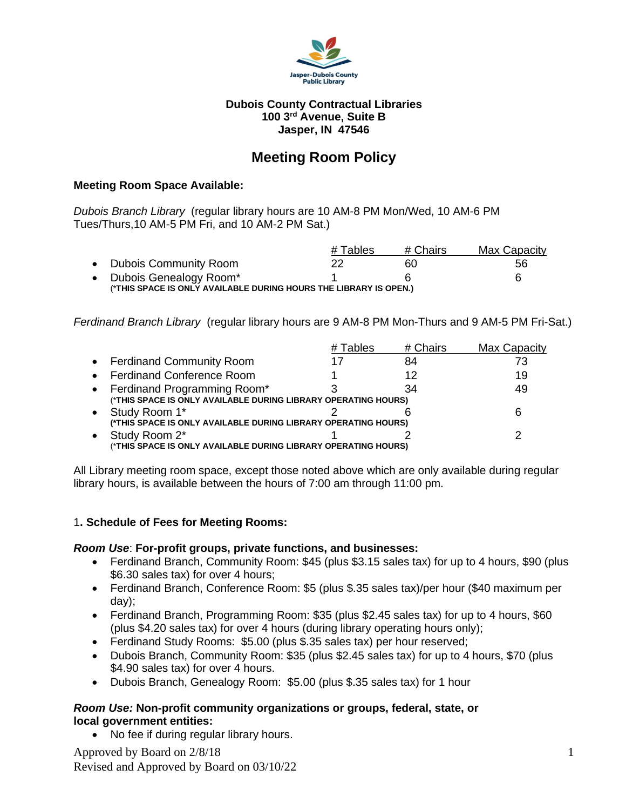

#### **Dubois County Contractual Libraries 100 3rd Avenue, Suite B Jasper, IN 47546**

# **Meeting Room Policy**

#### **Meeting Room Space Available:**

*Dubois Branch Library* (regular library hours are 10 AM-8 PM Mon/Wed, 10 AM-6 PM Tues/Thurs,10 AM-5 PM Fri, and 10 AM-2 PM Sat.)

|                                                                   | # Tables | # Chairs | Max Capacity |  |
|-------------------------------------------------------------------|----------|----------|--------------|--|
| • Dubois Community Room                                           | 22       | 60       | 56           |  |
| • Dubois Genealogy Room*                                          |          |          | ĥ            |  |
| (*THIS SPACE IS ONLY AVAILABLE DURING HOURS THE LIBRARY IS OPEN.) |          |          |              |  |

*Ferdinand Branch Library* (regular library hours are 9 AM-8 PM Mon-Thurs and 9 AM-5 PM Fri-Sat.)

|           |                                                                                                 | Tables | # Chairs | Max Capacity |
|-----------|-------------------------------------------------------------------------------------------------|--------|----------|--------------|
|           | • Ferdinand Community Room                                                                      |        | 84       | 73           |
|           | • Ferdinand Conference Room                                                                     |        | 12       | 19           |
|           | • Ferdinand Programming Room*<br>(*THIS SPACE IS ONLY AVAILABLE DURING LIBRARY OPERATING HOURS) |        | 34       | 49           |
|           | • Study Room 1*<br>(*THIS SPACE IS ONLY AVAILABLE DURING LIBRARY OPERATING HOURS)               |        |          | ิค           |
| $\bullet$ | Study Room 2*<br>(*THIS SPACE IS ONLY AVAILABLE DURING LIBRARY OPERATING HOURS)                 |        |          | っ            |
|           |                                                                                                 |        |          |              |

All Library meeting room space, except those noted above which are only available during regular library hours, is available between the hours of 7:00 am through 11:00 pm.

#### 1**. Schedule of Fees for Meeting Rooms:**

#### *Room Use*: **For-profit groups, private functions, and businesses:**

- Ferdinand Branch, Community Room: \$45 (plus \$3.15 sales tax) for up to 4 hours, \$90 (plus \$6.30 sales tax) for over 4 hours;
- Ferdinand Branch, Conference Room: \$5 (plus \$.35 sales tax)/per hour (\$40 maximum per day);
- Ferdinand Branch, Programming Room: \$35 (plus \$2.45 sales tax) for up to 4 hours, \$60 (plus \$4.20 sales tax) for over 4 hours (during library operating hours only);
- Ferdinand Study Rooms: \$5.00 (plus \$.35 sales tax) per hour reserved;
- Dubois Branch, Community Room: \$35 (plus \$2.45 sales tax) for up to 4 hours, \$70 (plus \$4.90 sales tax) for over 4 hours.
- Dubois Branch, Genealogy Room: \$5.00 (plus \$.35 sales tax) for 1 hour

## *Room Use:* **Non-profit community organizations or groups, federal, state, or local government entities:**

• No fee if during regular library hours.

Approved by Board on 2/8/18 Revised and Approved by Board on 03/10/22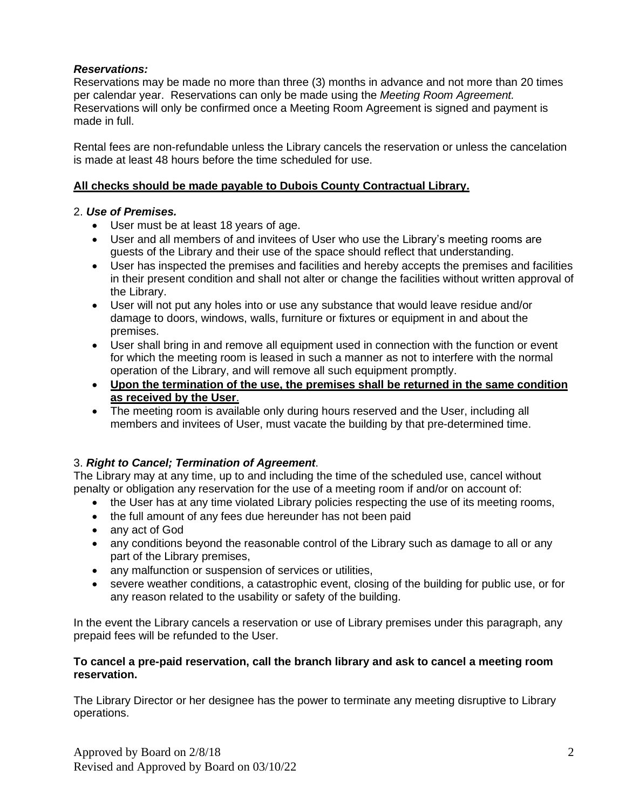## *Reservations:*

Reservations may be made no more than three (3) months in advance and not more than 20 times per calendar year. Reservations can only be made using the *Meeting Room Agreement.* Reservations will only be confirmed once a Meeting Room Agreement is signed and payment is made in full.

Rental fees are non-refundable unless the Library cancels the reservation or unless the cancelation is made at least 48 hours before the time scheduled for use.

## **All checks should be made payable to Dubois County Contractual Library.**

## 2. *Use of Premises.*

- User must be at least 18 years of age.
- User and all members of and invitees of User who use the Library's meeting rooms are guests of the Library and their use of the space should reflect that understanding.
- User has inspected the premises and facilities and hereby accepts the premises and facilities in their present condition and shall not alter or change the facilities without written approval of the Library.
- User will not put any holes into or use any substance that would leave residue and/or damage to doors, windows, walls, furniture or fixtures or equipment in and about the premises.
- User shall bring in and remove all equipment used in connection with the function or event for which the meeting room is leased in such a manner as not to interfere with the normal operation of the Library, and will remove all such equipment promptly.
- **Upon the termination of the use, the premises shall be returned in the same condition as received by the User**.
- The meeting room is available only during hours reserved and the User, including all members and invitees of User, must vacate the building by that pre-determined time.

## 3. *Right to Cancel; Termination of Agreement*.

The Library may at any time, up to and including the time of the scheduled use, cancel without penalty or obligation any reservation for the use of a meeting room if and/or on account of:

- the User has at any time violated Library policies respecting the use of its meeting rooms,
- the full amount of any fees due hereunder has not been paid
- any act of God
- any conditions beyond the reasonable control of the Library such as damage to all or any part of the Library premises,
- any malfunction or suspension of services or utilities,
- severe weather conditions, a catastrophic event, closing of the building for public use, or for any reason related to the usability or safety of the building.

In the event the Library cancels a reservation or use of Library premises under this paragraph, any prepaid fees will be refunded to the User.

## **To cancel a pre-paid reservation, call the branch library and ask to cancel a meeting room reservation.**

The Library Director or her designee has the power to terminate any meeting disruptive to Library operations.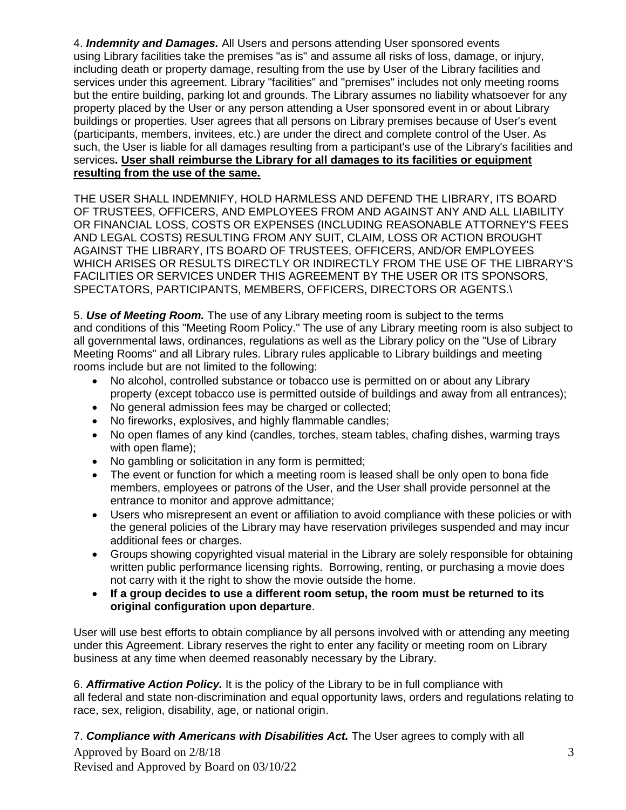4. *Indemnity and Damages.* All Users and persons attending User sponsored events using Library facilities take the premises "as is" and assume all risks of loss, damage, or injury, including death or property damage, resulting from the use by User of the Library facilities and services under this agreement. Library "facilities" and "premises" includes not only meeting rooms but the entire building, parking lot and grounds. The Library assumes no liability whatsoever for any property placed by the User or any person attending a User sponsored event in or about Library buildings or properties. User agrees that all persons on Library premises because of User's event (participants, members, invitees, etc.) are under the direct and complete control of the User. As such, the User is liable for all damages resulting from a participant's use of the Library's facilities and services**. User shall reimburse the Library for all damages to its facilities or equipment resulting from the use of the same.**

THE USER SHALL INDEMNIFY, HOLD HARMLESS AND DEFEND THE LIBRARY, ITS BOARD OF TRUSTEES, OFFICERS, AND EMPLOYEES FROM AND AGAINST ANY AND ALL LIABILITY OR FINANCIAL LOSS, COSTS OR EXPENSES (INCLUDING REASONABLE ATTORNEY'S FEES AND LEGAL COSTS) RESULTING FROM ANY SUIT, CLAIM, LOSS OR ACTION BROUGHT AGAINST THE LIBRARY, ITS BOARD OF TRUSTEES, OFFICERS, AND/OR EMPLOYEES WHICH ARISES OR RESULTS DIRECTLY OR INDIRECTLY FROM THE USE OF THE LIBRARY'S FACILITIES OR SERVICES UNDER THIS AGREEMENT BY THE USER OR ITS SPONSORS, SPECTATORS, PARTICIPANTS, MEMBERS, OFFICERS, DIRECTORS OR AGENTS.\

5. *Use of Meeting Room.* The use of any Library meeting room is subject to the terms and conditions of this "Meeting Room Policy." The use of any Library meeting room is also subject to all governmental laws, ordinances, regulations as well as the Library policy on the "Use of Library Meeting Rooms" and all Library rules. Library rules applicable to Library buildings and meeting rooms include but are not limited to the following:

- No alcohol, controlled substance or tobacco use is permitted on or about any Library property (except tobacco use is permitted outside of buildings and away from all entrances);
- No general admission fees may be charged or collected:
- No fireworks, explosives, and highly flammable candles;
- No open flames of any kind (candles, torches, steam tables, chafing dishes, warming trays with open flame);
- No gambling or solicitation in any form is permitted;
- The event or function for which a meeting room is leased shall be only open to bona fide members, employees or patrons of the User, and the User shall provide personnel at the entrance to monitor and approve admittance;
- Users who misrepresent an event or affiliation to avoid compliance with these policies or with the general policies of the Library may have reservation privileges suspended and may incur additional fees or charges.
- Groups showing copyrighted visual material in the Library are solely responsible for obtaining written public performance licensing rights. Borrowing, renting, or purchasing a movie does not carry with it the right to show the movie outside the home.
- **If a group decides to use a different room setup, the room must be returned to its original configuration upon departure**.

User will use best efforts to obtain compliance by all persons involved with or attending any meeting under this Agreement. Library reserves the right to enter any facility or meeting room on Library business at any time when deemed reasonably necessary by the Library.

6. *Affirmative Action Policy.* It is the policy of the Library to be in full compliance with all federal and state non-discrimination and equal opportunity laws, orders and regulations relating to race, sex, religion, disability, age, or national origin.

Approved by Board on 2/8/18 Revised and Approved by Board on 03/10/22 7. *Compliance with Americans with Disabilities Act.* The User agrees to comply with all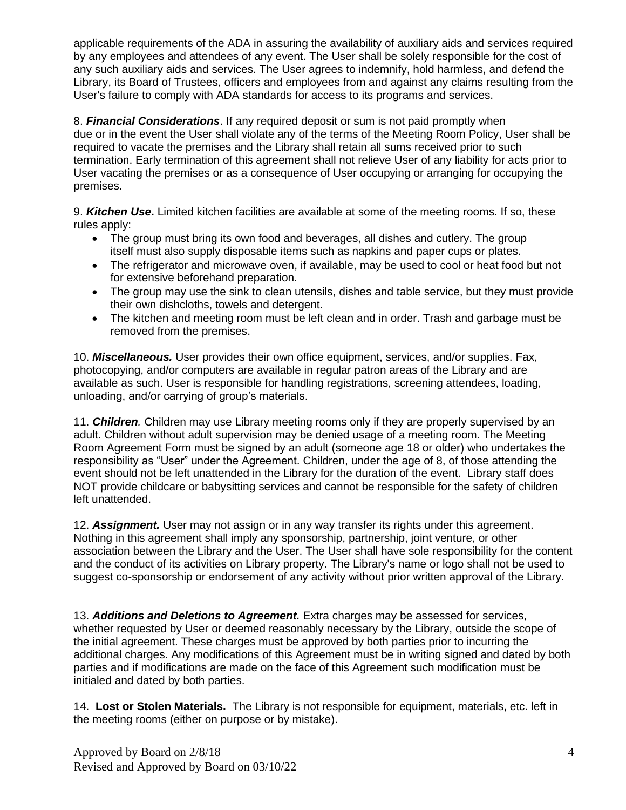applicable requirements of the ADA in assuring the availability of auxiliary aids and services required by any employees and attendees of any event. The User shall be solely responsible for the cost of any such auxiliary aids and services. The User agrees to indemnify, hold harmless, and defend the Library, its Board of Trustees, officers and employees from and against any claims resulting from the User's failure to comply with ADA standards for access to its programs and services.

8. *Financial Considerations*. If any required deposit or sum is not paid promptly when due or in the event the User shall violate any of the terms of the Meeting Room Policy, User shall be required to vacate the premises and the Library shall retain all sums received prior to such termination. Early termination of this agreement shall not relieve User of any liability for acts prior to User vacating the premises or as a consequence of User occupying or arranging for occupying the premises.

9. *Kitchen Use***.** Limited kitchen facilities are available at some of the meeting rooms. If so, these rules apply:

- The group must bring its own food and beverages, all dishes and cutlery. The group itself must also supply disposable items such as napkins and paper cups or plates.
- The refrigerator and microwave oven, if available, may be used to cool or heat food but not for extensive beforehand preparation.
- The group may use the sink to clean utensils, dishes and table service, but they must provide their own dishcloths, towels and detergent.
- The kitchen and meeting room must be left clean and in order. Trash and garbage must be removed from the premises.

10. *Miscellaneous.* User provides their own office equipment, services, and/or supplies. Fax, photocopying, and/or computers are available in regular patron areas of the Library and are available as such. User is responsible for handling registrations, screening attendees, loading, unloading, and/or carrying of group's materials.

11. *Children.* Children may use Library meeting rooms only if they are properly supervised by an adult. Children without adult supervision may be denied usage of a meeting room. The Meeting Room Agreement Form must be signed by an adult (someone age 18 or older) who undertakes the responsibility as "User" under the Agreement. Children, under the age of 8, of those attending the event should not be left unattended in the Library for the duration of the event. Library staff does NOT provide childcare or babysitting services and cannot be responsible for the safety of children left unattended.

12. *Assignment.* User may not assign or in any way transfer its rights under this agreement. Nothing in this agreement shall imply any sponsorship, partnership, joint venture, or other association between the Library and the User. The User shall have sole responsibility for the content and the conduct of its activities on Library property. The Library's name or logo shall not be used to suggest co-sponsorship or endorsement of any activity without prior written approval of the Library.

13. *Additions and Deletions to Agreement.* Extra charges may be assessed for services, whether requested by User or deemed reasonably necessary by the Library, outside the scope of the initial agreement. These charges must be approved by both parties prior to incurring the additional charges. Any modifications of this Agreement must be in writing signed and dated by both parties and if modifications are made on the face of this Agreement such modification must be initialed and dated by both parties.

14. **Lost or Stolen Materials.** The Library is not responsible for equipment, materials, etc. left in the meeting rooms (either on purpose or by mistake).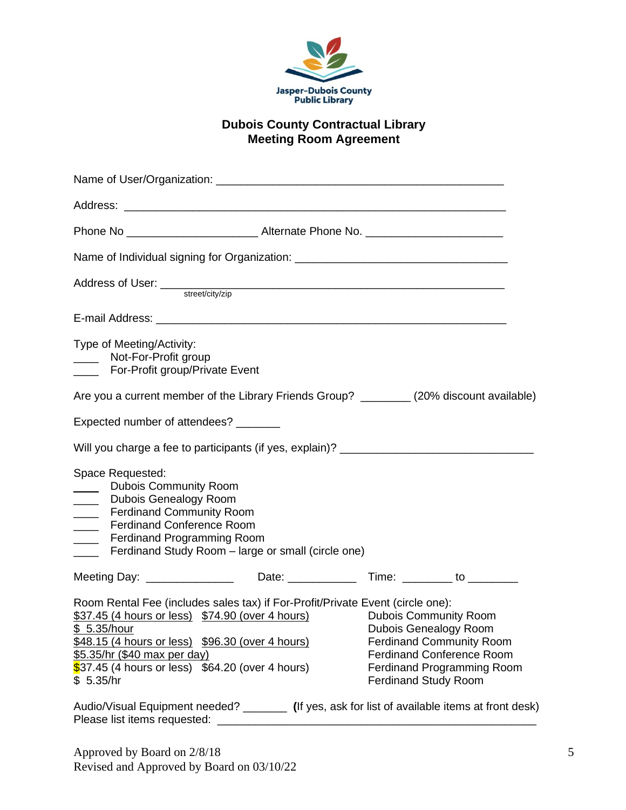

## **Dubois County Contractual Library Meeting Room Agreement**

| Name of Individual signing for Organization: ___________________________________                                                                                                                                                                                                                                                                        |  |                                                                                                                                                                                           |
|---------------------------------------------------------------------------------------------------------------------------------------------------------------------------------------------------------------------------------------------------------------------------------------------------------------------------------------------------------|--|-------------------------------------------------------------------------------------------------------------------------------------------------------------------------------------------|
|                                                                                                                                                                                                                                                                                                                                                         |  |                                                                                                                                                                                           |
| E-mail Address: William School School School School School School School School School School School School School School School School School School School School School School School School School School School School Sc                                                                                                                          |  |                                                                                                                                                                                           |
| Type of Meeting/Activity:<br>Not-For-Profit group<br>$\overline{\phantom{a}}$<br>For-Profit group/Private Event                                                                                                                                                                                                                                         |  |                                                                                                                                                                                           |
| Are you a current member of the Library Friends Group? _________(20% discount available)                                                                                                                                                                                                                                                                |  |                                                                                                                                                                                           |
| Expected number of attendees? _______                                                                                                                                                                                                                                                                                                                   |  |                                                                                                                                                                                           |
| Will you charge a fee to participants (if yes, explain)? ______________________                                                                                                                                                                                                                                                                         |  |                                                                                                                                                                                           |
| Space Requested:<br><b>Dubois Community Room</b><br>$\overline{\phantom{a}}$<br><b>Dubois Genealogy Room</b><br>$\overline{\phantom{a}}$<br><b>Ferdinand Community Room</b><br>$\frac{1}{1}$<br><b>Ferdinand Conference Room</b><br>$\overline{\phantom{a}}$<br><b>Ferdinand Programming Room</b><br>Ferdinand Study Room - large or small (circle one) |  |                                                                                                                                                                                           |
|                                                                                                                                                                                                                                                                                                                                                         |  |                                                                                                                                                                                           |
| Room Rental Fee (includes sales tax) if For-Profit/Private Event (circle one):<br>\$37.45 (4 hours or less) \$74.90 (over 4 hours)<br>\$ 5.35/hour<br>\$48.15 (4 hours or less) \$96.30 (over 4 hours)<br>\$5.35/hr (\$40 max per day)<br>$$37.45$ (4 hours or less) $$64.20$ (over 4 hours)<br>\$5.35/hr                                               |  | <b>Dubois Community Room</b><br>Dubois Genealogy Room<br><b>Ferdinand Community Room</b><br><b>Ferdinand Conference Room</b><br>Ferdinand Programming Room<br><b>Ferdinand Study Room</b> |

Audio/Visual Equipment needed? \_\_\_\_\_\_\_ **(**If yes, ask for list of available items at front desk) Please list items requested: \_\_\_\_\_\_\_\_\_\_\_\_\_\_\_\_\_\_\_\_\_\_\_\_\_\_\_\_\_\_\_\_\_\_\_\_\_\_\_\_\_\_\_\_\_\_\_\_\_\_\_